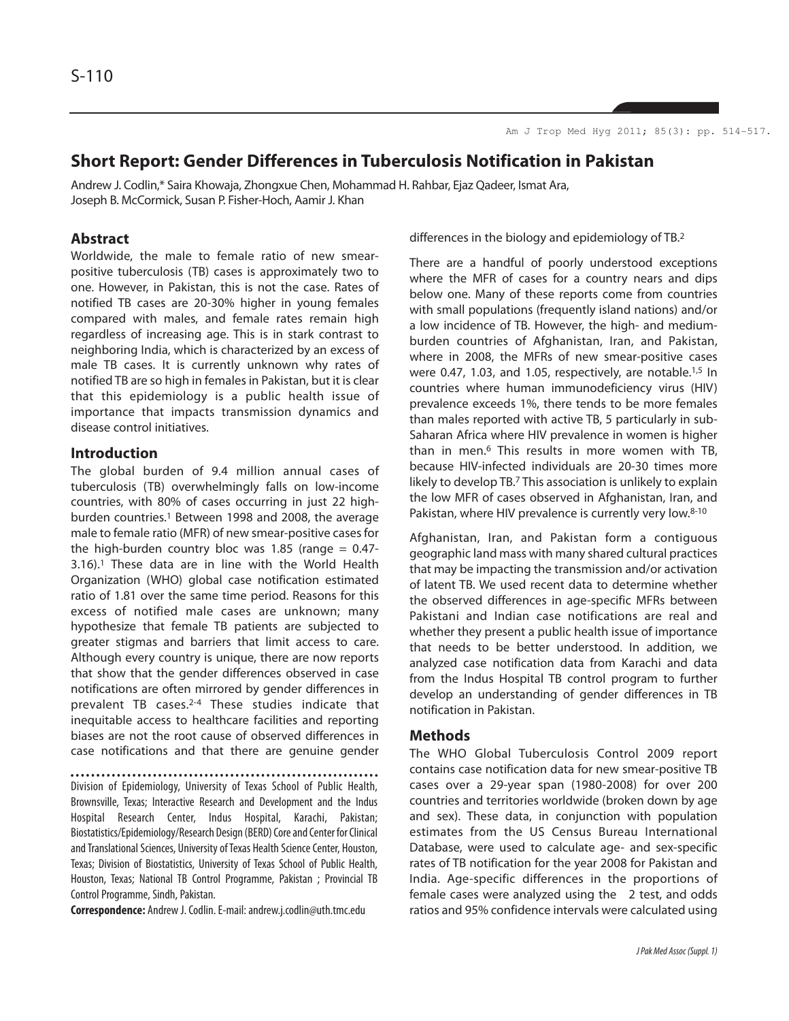# **Short Report: Gender Differences in Tuberculosis Notification in Pakistan**

Andrew J. Codlin,\* Saira Khowaja, Zhongxue Chen, Mohammad H. Rahbar, Ejaz Qadeer, Ismat Ara, Joseph B. McCormick, Susan P. Fisher-Hoch, Aamir J. Khan

# **Abstract**

Worldwide, the male to female ratio of new smearpositive tuberculosis (TB) cases is approximately two to one. However, in Pakistan, this is not the case. Rates of notified TB cases are 20-30% higher in young females compared with males, and female rates remain high regardless of increasing age. This is in stark contrast to neighboring India, which is characterized by an excess of male TB cases. It is currently unknown why rates of notified TB are so high in females in Pakistan, but it is clear that this epidemiology is a public health issue of importance that impacts transmission dynamics and disease control initiatives.

# **Introduction**

The global burden of 9.4 million annual cases of tuberculosis (TB) overwhelmingly falls on low-income countries, with 80% of cases occurring in just 22 highburden countries.<sup>1</sup> Between 1998 and 2008, the average male to female ratio (MFR) of new smear-positive cases for the high-burden country bloc was 1.85 (range  $= 0.47$ -3.16).<sup>1</sup> These data are in line with the World Health Organization (WHO) global case notification estimated ratio of 1.81 over the same time period. Reasons for this excess of notified male cases are unknown; many hypothesize that female TB patients are subjected to greater stigmas and barriers that limit access to care. Although every country is unique, there are now reports that show that the gender differences observed in case notifications are often mirrored by gender differences in prevalent TB cases.2-4 These studies indicate that inequitable access to healthcare facilities and reporting biases are not the root cause of observed differences in case notifications and that there are genuine gender

Division of Epidemiology, University of Texas School of Public Health, Brownsville, Texas; Interactive Research and Development and the Indus Hospital Research Center, Indus Hospital, Karachi, Pakistan; Biostatistics/Epidemiology/Research Design (BERD) Core and Center for Clinical and Translational Sciences, University of Texas Health Science Center, Houston, Texas; Division of Biostatistics, University of Texas School of Public Health, Houston, Texas; National TB Control Programme, Pakistan ; Provincial TB Control Programme, Sindh, Pakistan.

**Correspondence:** Andrew J. Codlin. E-mail: andrew.j.codlin@uth.tmc.edu

differences in the biology and epidemiology of TB.<sup>2</sup>

There are a handful of poorly understood exceptions where the MFR of cases for a country nears and dips below one. Many of these reports come from countries with small populations (frequently island nations) and/or a low incidence of TB. However, the high- and mediumburden countries of Afghanistan, Iran, and Pakistan, where in 2008, the MFRs of new smear-positive cases were 0.47, 1.03, and 1.05, respectively, are notable.<sup>1,5</sup> In countries where human immunodeficiency virus (HIV) prevalence exceeds 1%, there tends to be more females than males reported with active TB, 5 particularly in sub-Saharan Africa where HIV prevalence in women is higher than in men.<sup>6</sup> This results in more women with TB, because HIV-infected individuals are 20-30 times more likely to develop TB.<sup>7</sup> This association is unlikely to explain the low MFR of cases observed in Afghanistan, Iran, and Pakistan, where HIV prevalence is currently very low.<sup>8-10</sup>

Afghanistan, Iran, and Pakistan form a contiguous geographic land mass with many shared cultural practices that may be impacting the transmission and/or activation of latent TB. We used recent data to determine whether the observed differences in age-specific MFRs between Pakistani and Indian case notifications are real and whether they present a public health issue of importance that needs to be better understood. In addition, we analyzed case notification data from Karachi and data from the Indus Hospital TB control program to further develop an understanding of gender differences in TB notification in Pakistan.

### **Methods**

The WHO Global Tuberculosis Control 2009 report contains case notification data for new smear-positive TB cases over a 29-year span (1980-2008) for over 200 countries and territories worldwide (broken down by age and sex). These data, in conjunction with population estimates from the US Census Bureau International Database, were used to calculate age- and sex-specific rates of TB notification for the year 2008 for Pakistan and India. Age-specific differences in the proportions of female cases were analyzed using the 2 test, and odds ratios and 95% confidence intervals were calculated using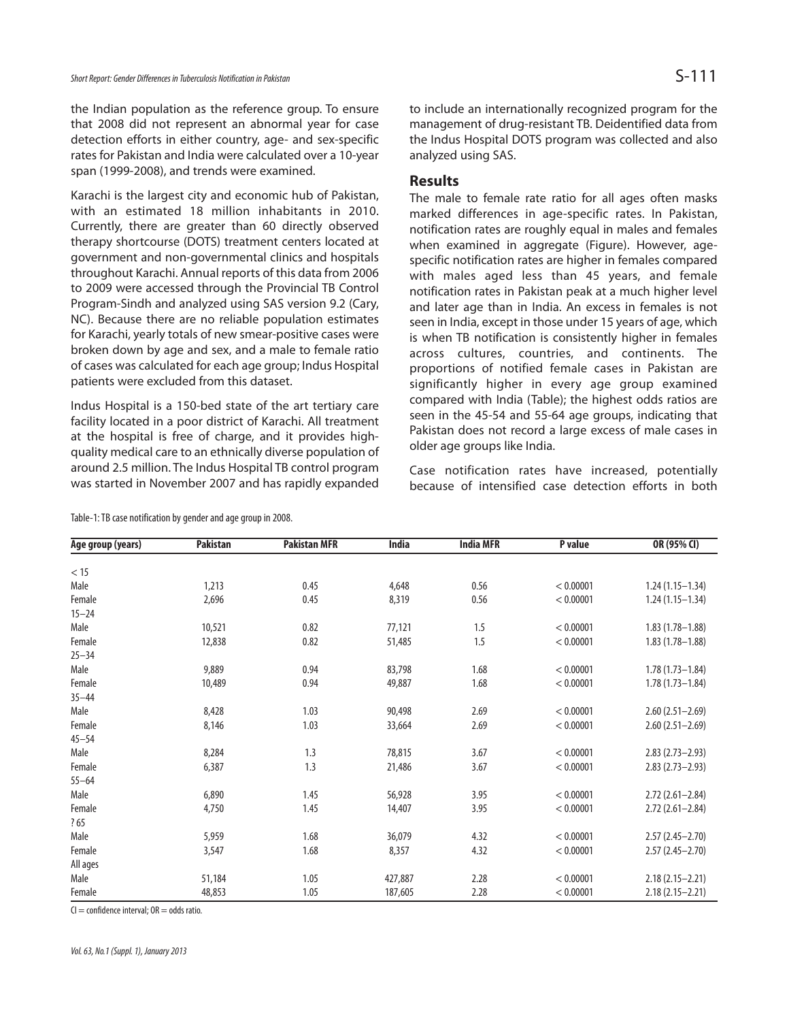the Indian population as the reference group. To ensure that 2008 did not represent an abnormal year for case detection efforts in either country, age- and sex-specific rates for Pakistan and India were calculated over a 10-year span (1999-2008), and trends were examined.

Karachi is the largest city and economic hub of Pakistan, with an estimated 18 million inhabitants in 2010. Currently, there are greater than 60 directly observed therapy shortcourse (DOTS) treatment centers located at government and non-governmental clinics and hospitals throughout Karachi. Annual reports of this data from 2006 to 2009 were accessed through the Provincial TB Control Program-Sindh and analyzed using SAS version 9.2 (Cary, NC). Because there are no reliable population estimates for Karachi, yearly totals of new smear-positive cases were broken down by age and sex, and a male to female ratio of cases was calculated for each age group; Indus Hospital patients were excluded from this dataset.

Indus Hospital is a 150-bed state of the art tertiary care facility located in a poor district of Karachi. All treatment at the hospital is free of charge, and it provides highquality medical care to an ethnically diverse population of around 2.5 million. The Indus Hospital TB control program was started in November 2007 and has rapidly expanded

to include an internationally recognized program for the management of drug-resistant TB. Deidentified data from the Indus Hospital DOTS program was collected and also analyzed using SAS.

# **Results**

The male to female rate ratio for all ages often masks marked differences in age-specific rates. In Pakistan, notification rates are roughly equal in males and females when examined in aggregate (Figure). However, agespecific notification rates are higher in females compared with males aged less than 45 years, and female notification rates in Pakistan peak at a much higher level and later age than in India. An excess in females is not seen in India, except in those under 15 years of age, which is when TB notification is consistently higher in females across cultures, countries, and continents. The proportions of notified female cases in Pakistan are significantly higher in every age group examined compared with India (Table); the highest odds ratios are seen in the 45-54 and 55-64 age groups, indicating that Pakistan does not record a large excess of male cases in older age groups like India.

Case notification rates have increased, potentially because of intensified case detection efforts in both

| Age group (years) | <b>Pakistan</b> | <b>Pakistan MFR</b> | <b>India</b> | <b>India MFR</b> | P value   | OR (95% CI)         |
|-------------------|-----------------|---------------------|--------------|------------------|-----------|---------------------|
|                   |                 |                     |              |                  |           |                     |
| < 15              |                 |                     |              |                  |           |                     |
| Male              | 1,213           | 0.45                | 4,648        | 0.56             | < 0.00001 | $1.24(1.15 - 1.34)$ |
| Female            | 2,696           | 0.45                | 8,319        | 0.56             | < 0.00001 | $1.24(1.15 - 1.34)$ |
| $15 - 24$         |                 |                     |              |                  |           |                     |
| Male              | 10,521          | 0.82                | 77,121       | 1.5              | < 0.00001 | $1.83(1.78 - 1.88)$ |
| Female            | 12,838          | 0.82                | 51,485       | 1.5              | < 0.00001 | $1.83(1.78 - 1.88)$ |
| $25 - 34$         |                 |                     |              |                  |           |                     |
| Male              | 9,889           | 0.94                | 83,798       | 1.68             | < 0.00001 | $1.78(1.73 - 1.84)$ |
| Female            | 10,489          | 0.94                | 49,887       | 1.68             | < 0.00001 | $1.78(1.73 - 1.84)$ |
| $35 - 44$         |                 |                     |              |                  |           |                     |
| Male              | 8,428           | 1.03                | 90,498       | 2.69             | < 0.00001 | $2.60(2.51 - 2.69)$ |
| Female            | 8,146           | 1.03                | 33,664       | 2.69             | < 0.00001 | $2.60(2.51 - 2.69)$ |
| $45 - 54$         |                 |                     |              |                  |           |                     |
| Male              | 8,284           | 1.3                 | 78,815       | 3.67             | < 0.00001 | $2.83(2.73 - 2.93)$ |
| Female            | 6,387           | 1.3                 | 21,486       | 3.67             | < 0.00001 | $2.83(2.73 - 2.93)$ |
| $55 - 64$         |                 |                     |              |                  |           |                     |
| Male              | 6,890           | 1.45                | 56,928       | 3.95             | < 0.00001 | $2.72(2.61 - 2.84)$ |
| Female            | 4,750           | 1.45                | 14,407       | 3.95             | < 0.00001 | $2.72(2.61 - 2.84)$ |
| ?65               |                 |                     |              |                  |           |                     |
| Male              | 5,959           | 1.68                | 36,079       | 4.32             | < 0.00001 | $2.57(2.45 - 2.70)$ |
| Female            | 3,547           | 1.68                | 8,357        | 4.32             | < 0.00001 | $2.57(2.45 - 2.70)$ |
| All ages          |                 |                     |              |                  |           |                     |
| Male              | 51,184          | 1.05                | 427,887      | 2.28             | < 0.00001 | $2.18(2.15 - 2.21)$ |
| Female            | 48,853          | 1.05                | 187,605      | 2.28             | < 0.00001 | $2.18(2.15 - 2.21)$ |

Table-1: TB case notification by gender and age group in 2008.

 $Cl =$  confidence interval;  $OR =$  odds ratio.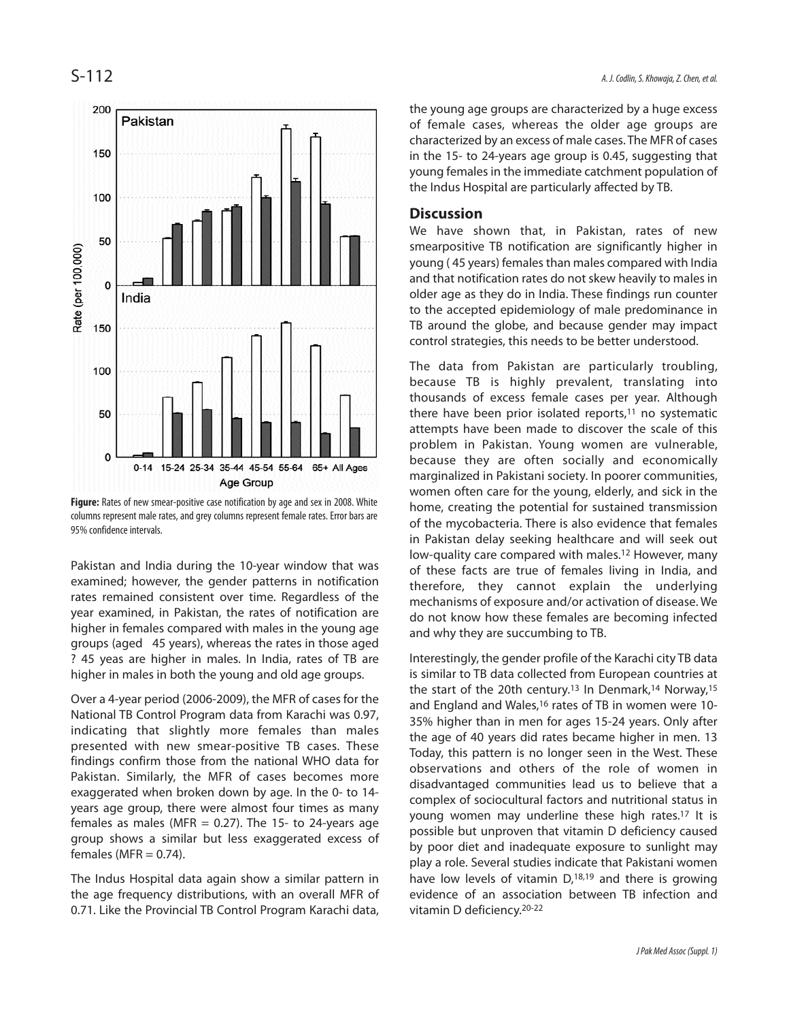

**Figure:** Rates of new smear-positive case notification by age and sex in 2008. White columns represent male rates, and grey columns represent female rates. Error bars are 95% confidence intervals.

Pakistan and India during the 10-year window that was examined; however, the gender patterns in notification rates remained consistent over time. Regardless of the year examined, in Pakistan, the rates of notification are higher in females compared with males in the young age groups (aged 45 years), whereas the rates in those aged ? 45 yeas are higher in males. In India, rates of TB are higher in males in both the young and old age groups.

Over a 4-year period (2006-2009), the MFR of cases for the National TB Control Program data from Karachi was 0.97, indicating that slightly more females than males presented with new smear-positive TB cases. These findings confirm those from the national WHO data for Pakistan. Similarly, the MFR of cases becomes more exaggerated when broken down by age. In the 0- to 14 years age group, there were almost four times as many females as males (MFR  $= 0.27$ ). The 15- to 24-years age group shows a similar but less exaggerated excess of females (MFR  $= 0.74$ ).

The Indus Hospital data again show a similar pattern in the age frequency distributions, with an overall MFR of 0.71. Like the Provincial TB Control Program Karachi data, the young age groups are characterized by a huge excess of female cases, whereas the older age groups are characterized by an excess of male cases. The MFR of cases in the 15- to 24-years age group is 0.45, suggesting that young females in the immediate catchment population of the Indus Hospital are particularly affected by TB.

### **Discussion**

We have shown that, in Pakistan, rates of new smearpositive TB notification are significantly higher in young ( 45 years) females than males compared with India and that notification rates do not skew heavily to males in older age as they do in India. These findings run counter to the accepted epidemiology of male predominance in TB around the globe, and because gender may impact control strategies, this needs to be better understood.

The data from Pakistan are particularly troubling, because TB is highly prevalent, translating into thousands of excess female cases per year. Although there have been prior isolated reports, $11$  no systematic attempts have been made to discover the scale of this problem in Pakistan. Young women are vulnerable, because they are often socially and economically marginalized in Pakistani society. In poorer communities, women often care for the young, elderly, and sick in the home, creating the potential for sustained transmission of the mycobacteria. There is also evidence that females in Pakistan delay seeking healthcare and will seek out low-quality care compared with males.<sup>12</sup> However, many of these facts are true of females living in India, and therefore, they cannot explain the underlying mechanisms of exposure and/or activation of disease. We do not know how these females are becoming infected and why they are succumbing to TB.

Interestingly, the gender profile of the Karachi city TB data is similar to TB data collected from European countries at the start of the 20th century.<sup>13</sup> In Denmark,<sup>14</sup> Norway,<sup>15</sup> and England and Wales,<sup>16</sup> rates of TB in women were 10-35% higher than in men for ages 15-24 years. Only after the age of 40 years did rates became higher in men. 13 Today, this pattern is no longer seen in the West. These observations and others of the role of women in disadvantaged communities lead us to believe that a complex of sociocultural factors and nutritional status in young women may underline these high rates.<sup>17</sup> It is possible but unproven that vitamin D deficiency caused by poor diet and inadequate exposure to sunlight may play a role. Several studies indicate that Pakistani women have low levels of vitamin D,<sup>18,19</sup> and there is growing evidence of an association between TB infection and vitamin D deficiency.20-22